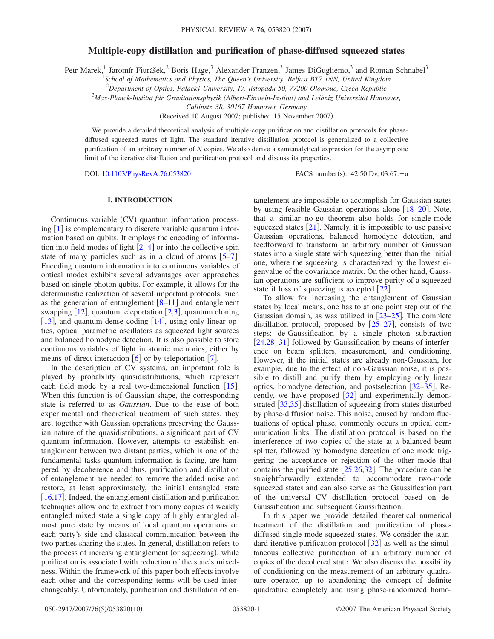# **Multiple-copy distillation and purification of phase-diffused squeezed states**

Petr Marek,<sup>1</sup> Jaromír Fiurášek,<sup>2</sup> Boris Hage,<sup>3</sup> Alexander Franzen,<sup>3</sup> James DiGugliemo,<sup>3</sup> and Roman Schnabel<sup>3</sup>

<sup>1</sup> School of Mathematics and Physics, The Queen's University, Belfast BT7 INN, United Kingdom

2 *Department of Optics, Palacký University, 17. listopadu 50, 77200 Olomouc, Czech Republic*

3 *Max-Planck-Institut für Gravitationsphysik (Albert-Einstein-Institut) and Leibniz Universität Hannover,*

*Callinstr. 38, 30167 Hannover, Germany*

(Received 10 August 2007; published 15 November 2007)

We provide a detailed theoretical analysis of multiple-copy purification and distillation protocols for phasediffused squeezed states of light. The standard iterative distillation protocol is generalized to a collective purification of an arbitrary number of *N* copies. We also derive a semianalytical expression for the asymptotic limit of the iterative distillation and purification protocol and discuss its properties.

DOI: [10.1103/PhysRevA.76.053820](http://dx.doi.org/10.1103/PhysRevA.76.053820)

PACS number(s):  $42.50 \text{.}$ Dv,  $03.67 - a$ 

### **I. INTRODUCTION**

Continuous variable (CV) quantum information processing  $\lceil 1 \rceil$  $\lceil 1 \rceil$  $\lceil 1 \rceil$  is complementary to discrete variable quantum information based on qubits. It employs the encoding of information into field modes of light  $[2-4]$  $[2-4]$  $[2-4]$  or into the collective spin state of many particles such as in a cloud of atoms  $[5-7]$  $[5-7]$  $[5-7]$ . Encoding quantum information into continuous variables of optical modes exhibits several advantages over approaches based on single-photon qubits. For example, it allows for the deterministic realization of several important protocols, such as the generation of entanglement  $\lceil 8-11 \rceil$  $\lceil 8-11 \rceil$  $\lceil 8-11 \rceil$  and entanglement swapping  $[12]$  $[12]$  $[12]$ , quantum teleportation  $[2,3]$  $[2,3]$  $[2,3]$  $[2,3]$ , quantum cloning [[13](#page-9-9)], and quantum dense coding [[14](#page-9-10)], using only linear optics, optical parametric oscillators as squeezed light sources and balanced homodyne detection. It is also possible to store continuous variables of light in atomic memories, either by means of direct interaction  $[6]$  $[6]$  $[6]$  or by teleportation  $[7]$  $[7]$  $[7]$ .

In the description of CV systems, an important role is played by probability quasidistributions, which represent each field mode by a real two-dimensional function  $[15]$  $[15]$  $[15]$ . When this function is of Gaussian shape, the corresponding state is referred to as *Gaussian*. Due to the ease of both experimental and theoretical treatment of such states, they are, together with Gaussian operations preserving the Gaussian nature of the quasidistributions, a significant part of CV quantum information. However, attempts to estabilish entanglement between two distant parties, which is one of the fundamental tasks quantum information is facing, are hampered by decoherence and thus, purification and distillation of entanglement are needed to remove the added noise and restore, at least approximately, the initial entangled state  $[16,17]$  $[16,17]$  $[16,17]$  $[16,17]$ . Indeed, the entanglement distillation and purification techniques allow one to extract from many copies of weakly entangled mixed state a single copy of highly entangled almost pure state by means of local quantum operations on each party's side and classical communication between the two parties sharing the states. In general, distillation refers to the process of increasing entanglement (or squeezing), while purification is associated with reduction of the state's mixedness. Within the framework of this paper both effects involve each other and the corresponding terms will be used interchangeably. Unfortunately, purification and distillation of entanglement are impossible to accomplish for Gaussian states by using feasible Gaussian operations alone  $[18–20]$  $[18–20]$  $[18–20]$  $[18–20]$ . Note, that a similar no-go theorem also holds for single-mode squeezed states  $\lceil 21 \rceil$  $\lceil 21 \rceil$  $\lceil 21 \rceil$ . Namely, it is impossible to use passive Gaussian operations, balanced homodyne detection, and feedforward to transform an arbitrary number of Gaussian states into a single state with squeezing better than the initial one, where the squeezing is characterized by the lowest eigenvalue of the covariance matrix. On the other hand, Gaussian operations are sufficient to improve purity of a squeezed state if loss of squeezing is accepted  $[22]$  $[22]$  $[22]$ .

To allow for increasing the entanglement of Gaussian states by local means, one has to at one point step out of the Gaussian domain, as was utilized in  $[23-25]$  $[23-25]$  $[23-25]$ . The complete distillation protocol, proposed by  $\left[25-27\right]$  $\left[25-27\right]$  $\left[25-27\right]$ , consists of two steps: de-Gaussification by a single photon subtraction [[24](#page-9-22)[,28](#page-9-23)[–31](#page-9-24)] followed by Gaussification by means of interference on beam splitters, measurement, and conditioning. However, if the initial states are already non-Gaussian, for example, due to the effect of non-Gaussian noise, it is possible to distill and purify them by employing only linear optics, homodyne detection, and postselection  $[32-35]$  $[32-35]$  $[32-35]$ . Recently, we have proposed  $|32|$  $|32|$  $|32|$  and experimentally demon-strated [[33](#page-9-27)[,35](#page-9-26)] distillation of squeezing from states disturbed by phase-diffusion noise. This noise, caused by random fluctuations of optical phase, commonly occurs in optical communication links. The distillation protocol is based on the interference of two copies of the state at a balanced beam splitter, followed by homodyne detection of one mode triggering the acceptance or rejection of the other mode that contains the purified state  $[25,26,32]$  $[25,26,32]$  $[25,26,32]$  $[25,26,32]$  $[25,26,32]$ . The procedure can be straightforwardly extended to accommodate two-mode squeezed states and can also serve as the Gaussification part of the universal CV distillation protocol based on de-Gaussification and subsequent Gaussification.

In this paper we provide detailed theoretical numerical treatment of the distillation and purification of phasediffused single-mode squeezed states. We consider the standard iterative purification protocol  $\left[32\right]$  $\left[32\right]$  $\left[32\right]$  as well as the simultaneous collective purification of an arbitrary number of copies of the decohered state. We also discuss the possibility of conditioning on the measurement of an arbitrary quadrature operator, up to abandoning the concept of definite quadrature completely and using phase-randomized homo-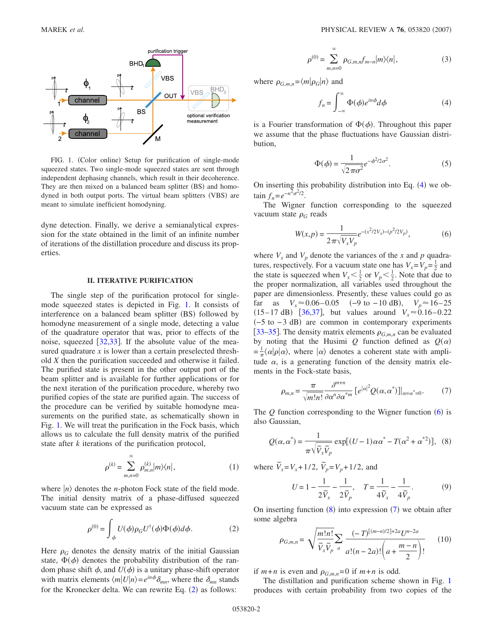<span id="page-1-0"></span>

FIG. 1. (Color online) Setup for purification of single-mode squeezed states. Two single-mode squeezed states are sent through independent dephasing channels, which result in their decoherence. They are then mixed on a balanced beam splitter (BS) and homodyned in both output ports. The virtual beam splitters (VBS) are meant to simulate inefficient homodyning.

dyne detection. Finally, we derive a semianalytical expression for the state obtained in the limit of an infinite number of iterations of the distillation procedure and discuss its properties.

#### **II. ITERATIVE PURIFICATION**

The single step of the purification protocol for singlemode squeezed states is depicted in Fig. [1.](#page-1-0) It consists of interference on a balanced beam splitter (BS) followed by homodyne measurement of a single mode, detecting a value of the quadrature operator that was, prior to effects of the noise, squeezed  $[32,33]$  $[32,33]$  $[32,33]$  $[32,33]$ . If the absolute value of the measured quadrature *x* is lower than a certain preselected threshold *X* then the purification succeeded and otherwise it failed. The purified state is present in the other output port of the beam splitter and is available for further applications or for the next iteration of the purification procedure, whereby two purified copies of the state are purified again. The success of the procedure can be verified by suitable homodyne measurements on the purified state, as schematically shown in Fig. [1.](#page-1-0) We will treat the purification in the Fock basis, which allows us to calculate the full density matrix of the purified state after *k* iterations of the purification protocol,

$$
\rho^{(k)} = \sum_{m,n=0}^{\infty} \rho_{m,n}^{(k)} |m\rangle\langle n|,
$$
\n(1)

<span id="page-1-1"></span>where  $|n\rangle$  denotes the *n*-photon Fock state of the field mode. The initial density matrix of a phase-diffused squeezed vacuum state can be expressed as

$$
\rho^{(0)} = \int_{\phi} U(\phi) \rho_G U^{\dagger}(\phi) \Phi(\phi) d\phi.
$$
 (2)

Here  $\rho_G$  denotes the density matrix of the initial Gaussian state,  $\Phi(\phi)$  denotes the probability distribution of the random phase shift  $\phi$ , and  $U(\phi)$  is a unitary phase-shift operator with matrix elements  $\langle m | U | n \rangle = e^{in\phi} \delta_{mn}$ , where the  $\delta_{mn}$  stands for the Kronecker delta. We can rewrite Eq.  $(2)$  $(2)$  $(2)$  as follows:

$$
\rho^{(0)} = \sum_{m,n=0}^{\infty} \rho_{G,m,n} f_{m-n} |m\rangle\langle n|,
$$
\n(3)

<span id="page-1-2"></span>where  $\rho_{G,m,n} = \langle m | \rho_G | n \rangle$  and

$$
f_n = \int_{-\infty}^{\infty} \Phi(\phi) e^{in\phi} d\phi \tag{4}
$$

is a Fourier transformation of  $\Phi(\phi)$ . Throughout this paper we assume that the phase fluctuations have Gaussian distribution,

$$
\Phi(\phi) = \frac{1}{\sqrt{2\pi\sigma^2}} e^{-\phi^2/2\sigma^2}.
$$
\n(5)

On inserting this probability distribution into Eq.  $(4)$  $(4)$  $(4)$  we ob- $\tan f_n = e^{-n^2 \sigma^2/2}$ .

<span id="page-1-3"></span>The Wigner function corresponding to the squeezed vacuum state  $\rho_G$  reads

$$
W(x,p) = \frac{1}{2\pi\sqrt{V_x V_p}} e^{-(x^2/2V_x) - (p^2/2V_p)},
$$
(6)

where  $V_x$  and  $V_p$  denote the variances of the *x* and *p* quadratures, respectively. For a vacuum state one has  $V_x = V_p = \frac{1}{2}$  and the state is squeezed when  $V_x < \frac{1}{2}$  or  $V_p < \frac{1}{2}$ . Note that due to the proper normalization, all variables used throughout the paper are dimensionless. Presently, these values could go as far as  $V_x \approx 0.06 - 0.05$  (-9 to -10 dB),  $V_p \approx 16 - 25$  $(15-17 \text{ dB})$  [[36,](#page-9-29)[37](#page-9-30)], but values around  $V_x \approx 0.16-0.22$  $(-5$  to  $-3$  dB) are common in contemporary experiments [[33–](#page-9-27)[35](#page-9-26)]. The density matrix elements  $\rho_{G,m,n}$  can be evaluated by noting that the Husimi  $Q$  function defined as  $Q(\alpha)$  $=\frac{1}{\pi}\langle\alpha|\rho|\alpha\rangle$ , where  $|\alpha\rangle$  denotes a coherent state with amplitude  $\alpha$ , is a generating function of the density matrix elements in the Fock-state basis,

$$
\rho_{m,n} = \frac{\pi}{\sqrt{m!n!}} \frac{\partial^{m+n}}{\partial \alpha^n \partial \alpha^{*m}} \left[ e^{|\alpha|^2} Q(\alpha, \alpha^*) \right] |_{\alpha = \alpha^* = 0}.
$$
 (7)

<span id="page-1-5"></span><span id="page-1-4"></span>The  $Q$  function corresponding to the Wigner function  $(6)$  $(6)$  $(6)$  is also Gaussian,

$$
Q(\alpha, \alpha^*) = \frac{1}{\pi \sqrt{\tilde{V}_x \tilde{V}_p}} \exp[(U - 1)\alpha \alpha^* - T(\alpha^2 + \alpha^{*2})], \quad (8)
$$

where  $\tilde{V}_x = V_x + 1/2$ ,  $\tilde{V}_p = V_p + 1/2$ , and

$$
U = 1 - \frac{1}{2\tilde{V}_x} - \frac{1}{2\tilde{V}_p}, \quad T = \frac{1}{4\tilde{V}_x} - \frac{1}{4\tilde{V}_p}.
$$
 (9)

On inserting function  $(8)$  $(8)$  $(8)$  into expression  $(7)$  $(7)$  $(7)$  we obtain after some algebra

$$
\rho_{G,m,n} = \sqrt{\frac{m!n!}{\widetilde{V}_x \widetilde{V}_p}} \sum_a \frac{(-T)^{[(m-n)/2]+2a} U^{n-2a}}{a!(n-2a)!\left(a + \frac{m-n}{2}\right)!} \tag{10}
$$

if  $m+n$  is even and  $\rho_{G,m,n}=0$  if  $m+n$  is odd.

The distillation and purification scheme shown in Fig. [1](#page-1-0) produces with certain probability from two copies of the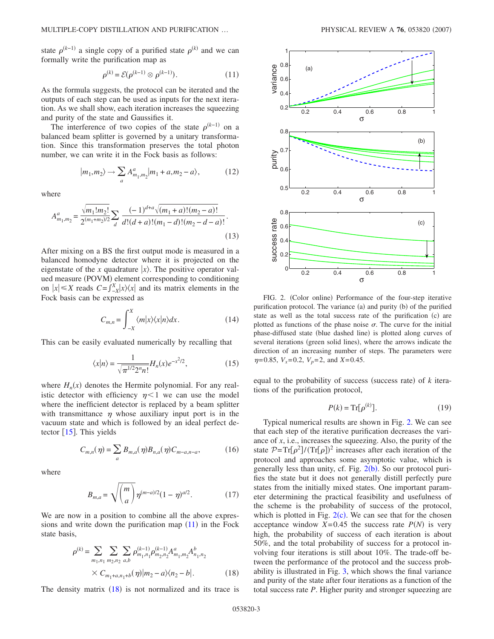state  $\rho^{(k-1)}$  a single copy of a purified state  $\rho^{(k)}$  and we can formally write the purification map as

$$
\rho^{(k)} = \mathcal{E}(\rho^{(k-1)} \otimes \rho^{(k-1)}).
$$
\n(11)

<span id="page-2-0"></span>As the formula suggests, the protocol can be iterated and the outputs of each step can be used as inputs for the next iteration. As we shall show, each iteration increases the squeezing and purity of the state and Gaussifies it.

The interference of two copies of the state  $\rho^{(k-1)}$  on a balanced beam splitter is governed by a unitary transformation. Since this transformation preserves the total photon number, we can write it in the Fock basis as follows:

$$
|m_1, m_2\rangle \to \sum_{a} A^{a}_{m_1, m_2} |m_1 + a, m_2 - a\rangle, \tag{12}
$$

where

$$
A_{m_1,m_2}^a = \frac{\sqrt{m_1! m_2!}}{2^{(m_1+m_2)/2}} \sum_{d} \frac{(-1)^{d+a} \sqrt{(m_1+a)!(m_2-a)!}}{d!(d+a)!(m_1-d)!(m_2-d-a)!}.
$$
\n(13)

After mixing on a BS the first output mode is measured in a balanced homodyne detector where it is projected on the eigenstate of the *x* quadrature  $|x\rangle$ . The positive operator valued measure (POVM) element corresponding to conditioning on  $|x|$  ≤ *X* reads  $C = \int_{-X}^{X} |x\rangle\langle x|$  and its matrix elements in the Fock basis can be expressed as

$$
C_{m,n} = \int_{-X}^{X} \langle m|x\rangle \langle x|n\rangle dx.
$$
 (14)

<span id="page-2-3"></span>This can be easily evaluated numerically by recalling that

$$
\langle x|n\rangle = \frac{1}{\sqrt{\pi^{1/2}2^n n!}} H_n(x) e^{-x^2/2},
$$
 (15)

where  $H_n(x)$  denotes the Hermite polynomial. For any realistic detector with efficiency  $\eta < 1$  we can use the model where the inefficient detector is replaced by a beam splitter with transmittance  $\eta$  whose auxiliary input port is in the vacuum state and which is followed by an ideal perfect detector  $\lceil 15 \rceil$  $\lceil 15 \rceil$  $\lceil 15 \rceil$ . This yields

$$
C_{m,n}(\eta) = \sum_{a} B_{m,a}(\eta) B_{n,a}(\eta) C_{m-a,n-a},
$$
 (16)

where

$$
B_{m,a} = \sqrt{\binom{m}{a}} \eta^{(m-a)/2} (1-\eta)^{a/2}.
$$
 (17)

<span id="page-2-1"></span>We are now in a position to combine all the above expressions and write down the purification map  $(11)$  $(11)$  $(11)$  in the Fock state basis,

$$
\rho^{(k)} = \sum_{m_1, n_1} \sum_{m_2, n_2} \sum_{a, b} \rho_{m_1, n_1}^{(k-1)} \rho_{m_2, n_2}^{(k-1)} A_{m_1, m_2}^a A_{n_1, n_2}^b
$$
  
 
$$
\times C_{m_1 + a, n_1 + b}(\eta) |m_2 - a\rangle\langle n_2 - b|.
$$
 (18)

The density matrix  $(18)$  $(18)$  $(18)$  is not normalized and its trace is

<span id="page-2-2"></span>

FIG. 2. (Color online) Performance of the four-step iterative purification protocol. The variance (a) and purity (b) of the purified state as well as the total success rate of the purification (c) are plotted as functions of the phase noise  $\sigma$ . The curve for the initial phase-diffused state (blue dashed line) is plotted along curves of several iterations (green solid lines), where the arrows indicate the direction of an increasing number of steps. The parameters were  $\eta$ =0.85,  $V_x$ =0.2,  $V_p$ =2, and *X*=0.45.

equal to the probability of success (success rate) of  $k$  iterations of the purification protocol,

$$
P(k) = \operatorname{Tr}[\rho^{(k)}].\tag{19}
$$

Typical numerical results are shown in Fig. [2.](#page-2-2) We can see that each step of the iterative purification decreases the variance of *x*, i.e., increases the squeezing. Also, the purity of the state  $P = Tr[\rho^2]/(Tr[\rho])^2$  increases after each iteration of the protocol and approaches some asymptotic value, which is generally less than unity, cf. Fig.  $2(b)$  $2(b)$ . So our protocol purifies the state but it does not generally distill perfectly pure states from the initially mixed states. One important parameter determining the practical feasibility and usefulness of the scheme is the probability of success of the protocol, which is plotted in Fig.  $2(c)$  $2(c)$ . We can see that for the chosen acceptance window  $X=0.45$  the success rate  $P(N)$  is very high, the probability of success of each iteration is about 50%, and the total probability of success for a protocol involving four iterations is still about 10%. The trade-off between the performance of the protocol and the success probability is illustrated in Fig. [3,](#page-3-0) which shows the final variance and purity of the state after four iterations as a function of the total success rate *P*. Higher purity and stronger squeezing are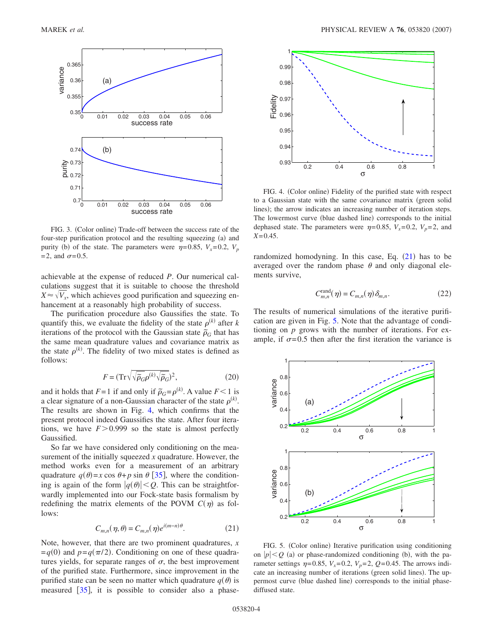<span id="page-3-0"></span>

FIG. 3. (Color online) Trade-off between the success rate of the four-step purification protocol and the resulting squeezing (a) and purity (b) of the state. The parameters were  $\eta = 0.85$ ,  $V_x = 0.2$ ,  $V_p$  $=2$ , and  $\sigma=0.5$ .

achievable at the expense of reduced *P*. Our numerical calculations suggest that it is suitable to choose the threshold  $X \approx \sqrt{V_x}$ , which achieves good purification and squeezing enhancement at a reasonably high probability of success.

The purification procedure also Gaussifies the state. To quantify this, we evaluate the fidelity of the state  $\rho^{(k)}$  after *k* iterations of the protocol with the Gaussian state  $\tilde{\rho}_G$  that has the same mean quadrature values and covariance matrix as the state  $\rho^{(k)}$ . The fidelity of two mixed states is defined as follows:

$$
F = (\text{Tr}\sqrt{\sqrt{\tilde{\rho}_G}\rho^{(k)}\sqrt{\tilde{\rho}_G}})^2, \tag{20}
$$

and it holds that  $F=1$  if and only if  $\tilde{\rho}_G = \rho^{(k)}$ . A value  $F < 1$  is a clear signature of a non-Gaussian character of the state  $\rho^{(k)}$ . The results are shown in Fig. [4,](#page-3-1) which confirms that the present protocol indeed Gaussifies the state. After four iterations, we have  $F > 0.999$  so the state is almost perfectly Gaussified.

So far we have considered only conditioning on the measurement of the initially squeezed *x* quadrature. However, the method works even for a measurement of an arbitrary quadrature  $q(\theta) = x \cos \theta + p \sin \theta$  [[35](#page-9-26)], where the conditioning is again of the form  $|q(\theta)| < Q$ . This can be straightforwardly implemented into our Fock-state basis formalism by redefining the matrix elements of the POVM  $C(\eta)$  as follows:

$$
C_{m,n}(\eta,\theta) = C_{m,n}(\eta)e^{i(m-n)\theta}.
$$
 (21)

<span id="page-3-2"></span>Note, however, that there are two prominent quadratures, *x*  $=q(0)$  and  $p=q(\pi/2)$ . Conditioning on one of these quadratures yields, for separate ranges of  $\sigma$ , the best improvement of the purified state. Furthermore, since improvement in the purified state can be seen no matter which quadrature  $q(\theta)$  is measured  $\begin{bmatrix} 35 \end{bmatrix}$  $\begin{bmatrix} 35 \end{bmatrix}$  $\begin{bmatrix} 35 \end{bmatrix}$ , it is possible to consider also a phase-

<span id="page-3-1"></span>

FIG. 4. (Color online) Fidelity of the purified state with respect to a Gaussian state with the same covariance matrix green solid lines); the arrow indicates an increasing number of iteration steps. The lowermost curve (blue dashed line) corresponds to the initial dephased state. The parameters were  $\eta = 0.85$ ,  $V_x = 0.2$ ,  $V_p = 2$ , and *X*=0.45.

randomized homodyning. In this case, Eq.  $(21)$  $(21)$  $(21)$  has to be averaged over the random phase  $\theta$  and only diagonal elements survive,

$$
C_{m,n}^{\text{rand}}(\eta) = C_{m,n}(\eta) \delta_{m,n}.
$$
 (22)

The results of numerical simulations of the iterative purification are given in Fig. [5.](#page-3-3) Note that the advantage of conditioning on *p* grows with the number of iterations. For example, if  $\sigma$ =0.5 then after the first iteration the variance is

<span id="page-3-3"></span>

FIG. 5. (Color online) Iterative purification using conditioning on  $|p| < Q$  (a) or phase-randomized conditioning (b), with the parameter settings  $\eta$ =0.85,  $V_x$ =0.2,  $V_p$ =2,  $Q$ =0.45. The arrows indicate an increasing number of iterations (green solid lines). The uppermost curve (blue dashed line) corresponds to the initial phasediffused state.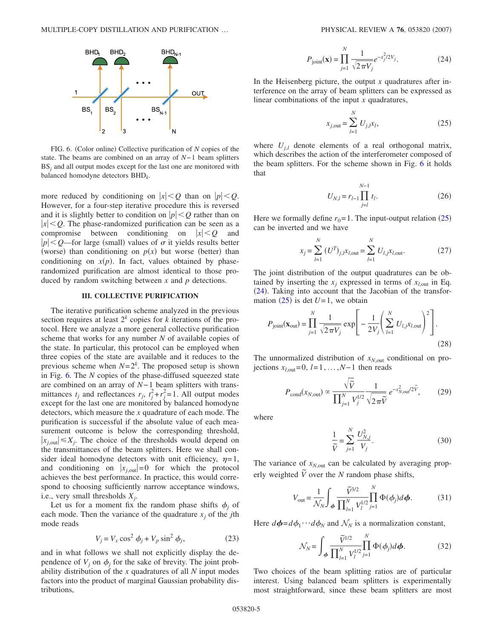<span id="page-4-0"></span>

FIG. 6. (Color online) Collective purification of *N* copies of the state. The beams are combined on an array of *N*−1 beam splitters BS<sub>j</sub> and all output modes except for the last one are monitored with balanced homodyne detectors BHD*k*.

more reduced by conditioning on  $|x| < Q$  than on  $|p| < Q$ . However, for a four-step iterative procedure this is reversed and it is slightly better to condition on  $|p| \leq Q$  rather than on  $|x|$   $\lt Q$ . The phase-randomized purification can be seen as a compromise between conditioning on  $|x| < Q$  and  $|p|$  < Q—for large (small) values of  $\sigma$  it yields results better (worse) than conditioning on  $p(x)$  but worse (better) than conditioning on  $x(p)$ . In fact, values obtained by phaserandomized purification are almost identical to those produced by random switching between *x* and *p* detections.

### **III. COLLECTIVE PURIFICATION**

The iterative purification scheme analyzed in the previous section requires at least  $2^k$  copies for *k* iterations of the protocol. Here we analyze a more general collective purification scheme that works for any number *N* of available copies of the state. In particular, this protocol can be employed when three copies of the state are available and it reduces to the previous scheme when  $N=2<sup>k</sup>$ . The proposed setup is shown in Fig. [6.](#page-4-0) The *N* copies of the phase-diffused squeezed state are combined on an array of *N*−1 beam splitters with transmittances  $t_j$  and reflectances  $r_j$ ,  $t_j^2 + r_j^2 = 1$ . All output modes except for the last one are monitored by balanced homodyne detectors, which measure the *x* quadrature of each mode. The purification is successful if the absolute value of each measurement outcome is below the corresponding threshold,  $|x_{j,\text{out}}| \leq X_j$ . The choice of the thresholds would depend on the transmittances of the beam splitters. Here we shall consider ideal homodyne detectors with unit efficiency,  $\eta = 1$ , and conditioning on  $|x_{j,\text{out}}|=0$  for which the protocol achieves the best performance. In practice, this would correspond to choosing sufficiently narrow acceptance windows, i.e., very small thresholds *Xj*.

Let us for a moment fix the random phase shifts  $\phi_i$  of each mode. Then the variance of the quadrature  $x_j$  of the *j*th mode reads

$$
V_j = V_x \cos^2 \phi_j + V_p \sin^2 \phi_j, \qquad (23)
$$

and in what follows we shall not explicitly display the dependence of  $V_j$  on  $\phi_j$  for the sake of brevity. The joint probability distribution of the *x* quadratures of all *N* input modes factors into the product of marginal Gaussian probability distributions,

$$
P_{\text{joint}}(\mathbf{x}) = \prod_{j=1}^{N} \frac{1}{\sqrt{2\pi V_j}} e^{-x_j^2/2V_j}.
$$
 (24)

<span id="page-4-2"></span><span id="page-4-1"></span>In the Heisenberg picture, the output *x* quadratures after interference on the array of beam splitters can be expressed as linear combinations of the input *x* quadratures,

$$
x_{j, \text{out}} = \sum_{l=1}^{N} U_{j,l} x_l,
$$
 (25)

where  $U_{j,l}$  denote elements of a real orthogonal matrix, which describes the action of the interferometer composed of the beam splitters. For the scheme shown in Fig. [6](#page-4-0) it holds that

$$
U_{N,l} = r_{l-1} \prod_{j=l}^{N-1} t_l.
$$
 (26)

Here we formally define  $r_0$ =1. The input-output relation  $(25)$  $(25)$  $(25)$ can be inverted and we have

$$
x_j = \sum_{l=1}^{N} (U^T)_{j,l} x_{l, \text{out}} = \sum_{l=1}^{N} U_{l,j} x_{l, \text{out}}.
$$
 (27)

The joint distribution of the output quadratures can be obtained by inserting the  $x_i$  expressed in terms of  $x_{l, \text{out}}$  in Eq.  $(24)$  $(24)$  $(24)$ . Taking into account that the Jacobian of the transformation  $(25)$  $(25)$  $(25)$  is det  $U=1$ , we obtain

$$
P_{\text{joint}}(\mathbf{x}_{\text{out}}) = \prod_{j=1}^{N} \frac{1}{\sqrt{2\pi V_j}} \exp\left[-\frac{1}{2V_j} \left(\sum_{l=1}^{N} U_{l,j} x_{l,\text{out}}\right)^2\right].
$$
\n(28)

The unnormalized distribution of  $x_{N,\text{out}}$  conditional on projections  $x_{l, \text{out}} = 0$ ,  $l = 1, ..., N-1$  then reads

$$
P_{\text{cond}}(x_{N,\text{out}}) \propto \frac{\sqrt{\tilde{V}}}{\prod_{j=1}^{N} V_j^{1/2}} \frac{1}{\sqrt{2\pi\tilde{V}}} e^{-x_{N,\text{out}}^2/2\tilde{V}},\tag{29}
$$

where

$$
\frac{1}{\tilde{V}} = \sum_{j=1}^{N} \frac{U_{N,j}^2}{V_j}.
$$
\n(30)

<span id="page-4-3"></span>The variance of  $x_{N,\text{out}}$  can be calculated by averaging properly weighted  $\tilde{V}$  over the *N* random phase shifts,

$$
V_{\text{out}} = \frac{1}{\mathcal{N}_N} \int_{\phi} \frac{\tilde{V}^{3/2}}{\prod_{l=1}^N V_l^{1/2}} \prod_{j=1}^N \Phi(\phi_j) d\phi. \tag{31}
$$

<span id="page-4-4"></span>Here  $d\phi = d\phi_1 \cdots d\phi_N$  and  $\mathcal{N}_N$  is a normalization constant,

$$
\mathcal{N}_N = \int_{\boldsymbol{\phi}} \frac{\tilde{V}^{1/2}}{\prod_{l=1}^N V_l^{1/2}} \prod_{j=1}^N \Phi(\boldsymbol{\phi}_j) d\boldsymbol{\phi}.
$$
 (32)

Two choices of the beam splitting ratios are of particular interest. Using balanced beam splitters is experimentally most straightforward, since these beam splitters are most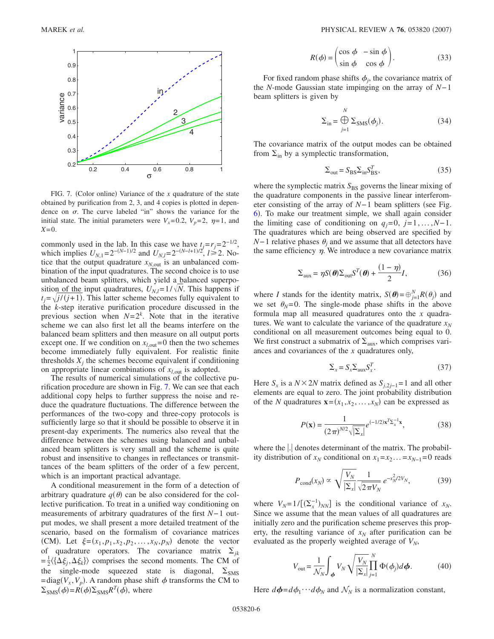<span id="page-5-0"></span>

FIG. 7. (Color online) Variance of the *x* quadrature of the state obtained by purification from 2, 3, and 4 copies is plotted in dependence on  $\sigma$ . The curve labeled "in" shows the variance for the initial state. The initial parameters were  $V_x=0.2$ ,  $V_p=2$ ,  $\eta=1$ , and *X*=0.

commonly used in the lab. In this case we have  $t_j = r_j = 2^{-1/2}$ , which implies  $U_{N,1} = 2^{-(N-1)/2}$  and  $U_{N,l} = 2^{-(N-l+1)/2}$ ,  $l \ge 2$ . Notice that the output quadrature  $x_{N,\text{out}}$  is an unbalanced combination of the input quadratures. The second choice is to use unbalanced beam splitters, which yield a balanced superposition of the input quadratures,  $U_{N,l} = 1/\sqrt{N}$ . This happens if  $t_j = \sqrt{j/(j+1)}$ . This latter scheme becomes fully equivalent to the *k*-step iterative purification procedure discussed in the previous section when  $N=2^k$ . Note that in the iterative scheme we can also first let all the beams interfere on the balanced beam splitters and then measure on all output ports except one. If we condition on  $x_{l, \text{out}} = 0$  then the two schemes become immediately fully equivalent. For realistic finite thresholds  $X_i$  the schemes become equivalent if conditioning on appropriate linear combinations of *xl*,out is adopted.

The results of numerical simulations of the collective purification procedure are shown in Fig. [7.](#page-5-0) We can see that each additional copy helps to further suppress the noise and reduce the quadrature fluctuations. The difference between the performances of the two-copy and three-copy protocols is sufficiently large so that it should be possible to observe it in present-day experiments. The numerics also reveal that the difference between the schemes using balanced and unbalanced beam splitters is very small and the scheme is quite robust and insensitive to changes in reflectances or transmittances of the beam splitters of the order of a few percent, which is an important practical advantage.

A conditional measurement in the form of a detection of arbitrary quadrature  $q(\theta)$  can be also considered for the collective purification. To treat in a unified way conditioning on measurements of arbitrary quadratures of the first *N*−1 output modes, we shall present a more detailed treatment of the scenario, based on the formalism of covariance matrices (CM). Let  $\xi = (x_1, p_1, x_2, p_2, ..., x_N, p_N)$  denote the vector of quadrature operators. The covariance matrix  $\Sigma_{jk}$  $=\frac{1}{2}\langle {\{\Delta \xi_j, \Delta \xi_k\}} \rangle$  comprises the second moments. The CM of the single-mode squeezed state is diagonal,  $\Sigma_{\text{SMS}}$  $=$ diag $(V_x, V_p)$ . A random phase shift  $\phi$  transforms the CM to  $\Sigma_{\text{SMS}}(\phi) = R(\phi) \Sigma_{\text{SMS}} R^T(\phi)$ , where

$$
R(\phi) = \begin{pmatrix} \cos \phi & -\sin \phi \\ \sin \phi & \cos \phi \end{pmatrix}.
$$
 (33)

<span id="page-5-2"></span>For fixed random phase shifts  $\phi_i$ , the covariance matrix of the *N*-mode Gaussian state impinging on the array of *N*−1 beam splitters is given by

$$
\Sigma_{\rm in} = \bigoplus_{j=1}^{N} \Sigma_{\rm SMS}(\phi_j). \tag{34}
$$

The covariance matrix of the output modes can be obtained from  $\Sigma$ <sub>in</sub> by a symplectic transformation,

$$
\Sigma_{\text{out}} = S_{\text{BS}} \Sigma_{\text{in}} S_{\text{BS}}^T,\tag{35}
$$

where the symplectic matrix  $S_{BS}$  governs the linear mixing of the quadrature components in the passive linear interferometer consisting of the array of *N*−1 beam splitters (see Fig. [6](#page-4-0)). To make our treatment simple, we shall again consider the limiting case of conditioning on  $q_j=0$ ,  $j=1,\ldots,N-1$ . The quadratures which are being observed are specified by *N*−1 relative phases  $\theta_i$  and we assume that all detectors have the same efficiency  $\eta$ . We introduce a new covariance matrix

$$
\Sigma_{\text{aux}} = \eta S(\boldsymbol{\theta}) \Sigma_{\text{out}} S^T(\boldsymbol{\theta}) + \frac{(1-\eta)}{2} I,\tag{36}
$$

where *I* stands for the identity matrix,  $S(\boldsymbol{\theta}) = \bigoplus_{j=1}^{N} R(\theta_j)$  and we set  $\theta_N=0$ . The single-mode phase shifts in the above formula map all measured quadratures onto the *x* quadratures. We want to calculate the variance of the quadrature  $x_N$ conditional on all measurement outcomes being equal to 0. We first construct a submatrix of  $\Sigma_{\text{aux}}$ , which comprises variances and covariances of the *x* quadratures only,

$$
\Sigma_x = S_x \Sigma_{\text{aux}} S_x^T. \tag{37}
$$

Here  $S_x$  is a  $N \times 2N$  matrix defined as  $S_{i,2j-1}=1$  and all other elements are equal to zero. The joint probability distribution of the *N* quadratures  $\mathbf{x} = (x_1, x_2, \dots, x_N)$  can be expressed as

$$
P(\mathbf{x}) = \frac{1}{(2\pi)^{N/2} \sqrt{|\Sigma_x|}} e^{(-1/2)\mathbf{x}^T \Sigma_x^{-1} \mathbf{x}},
$$
(38)

where the  $\left| \cdot \right|$  denotes determinant of the matrix. The probability distribution of  $x_N$  conditional on  $x_1 = x_2 \ldots = x_{N-1} = 0$  reads

$$
P_{\text{cond}}(x_N) \propto \sqrt{\frac{V_N}{|\Sigma_x|}} \frac{1}{\sqrt{2\pi V_N}} e^{-x_N^2/2V_N}, \tag{39}
$$

where  $V_N = 1/[(\Sigma_x^{-1})_{NN}]$  is the conditional variance of  $x_N$ . Since we assume that the mean values of all quadratures are initially zero and the purification scheme preserves this property, the resulting variance of  $x_N$  after purification can be evaluated as the properly weighted average of  $V_N$ ,

$$
V_{\text{out}} = \frac{1}{\mathcal{N}_N} \int_{\phi} V_N \sqrt{\frac{V_N}{|\Sigma_x|} \prod_{j=1}^N \Phi(\phi_j) d\phi}.
$$
 (40)

<span id="page-5-1"></span>Here  $d\phi = d\phi_1 \cdots d\phi_N$  and  $\mathcal{N}_N$  is a normalization constant,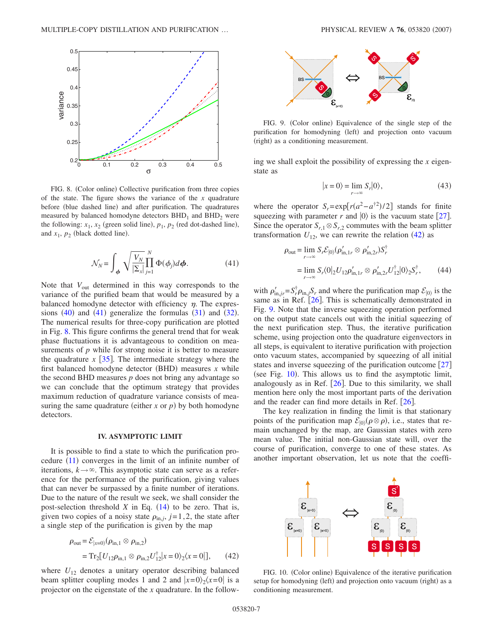<span id="page-6-1"></span>

FIG. 8. (Color online) Collective purification from three copies of the state. The figure shows the variance of the *x* quadrature before (blue dashed line) and after purification. The quadratures measured by balanced homodyne detectors  $BHD<sub>1</sub>$  and  $BHD<sub>2</sub>$  were the following:  $x_1$ ,  $x_2$  (green solid line),  $p_1$ ,  $p_2$  (red dot-dashed line), and  $x_1$ ,  $p_2$  (black dotted line).

$$
\mathcal{N}_N = \int_{\boldsymbol{\phi}} \sqrt{\frac{V_N}{|\Sigma_x|} \prod_{j=1}^N \Phi(\boldsymbol{\phi}_j) d\boldsymbol{\phi}}.
$$
 (41)

<span id="page-6-0"></span>Note that  $V_{\text{out}}$  determined in this way corresponds to the variance of the purified beam that would be measured by a balanced homodyne detector with efficiency  $\eta$ . The expressions  $(40)$  $(40)$  $(40)$  and  $(41)$  $(41)$  $(41)$  generalize the formulas  $(31)$  $(31)$  $(31)$  and  $(32)$  $(32)$  $(32)$ . The numerical results for three-copy purification are plotted in Fig. [8.](#page-6-1) This figure confirms the general trend that for weak phase fluctuations it is advantageous to condition on measurements of *p* while for strong noise it is better to measure the quadrature  $x$  [[35](#page-9-26)]. The intermediate strategy where the first balanced homodyne detector (BHD) measures *x* while the second BHD measures *p* does not bring any advantage so we can conclude that the optimum strategy that provides maximum reduction of quadrature variance consists of measuring the same quadrature (either  $x$  or  $p$ ) by both homodyne detectors.

#### **IV. ASYMPTOTIC LIMIT**

It is possible to find a state to which the purification procedure  $(11)$  $(11)$  $(11)$  converges in the limit of an infinite number of iterations,  $k \rightarrow \infty$ . This asymptotic state can serve as a reference for the performance of the purification, giving values that can never be surpassed by a finite number of iterations. Due to the nature of the result we seek, we shall consider the post-selection threshold  $X$  in Eq.  $(14)$  $(14)$  $(14)$  to be zero. That is, given two copies of a noisy state  $\rho_{\text{in},j}$ ,  $j=1,2$ , the state after a single step of the purification is given by the map

<span id="page-6-2"></span>
$$
\rho_{\text{out}} = \mathcal{E}_{|x=0\rangle}(\rho_{\text{in},1} \otimes \rho_{\text{in},2})
$$
  
= Tr<sub>2</sub>[ $U_{12}\rho_{\text{in},1} \otimes \rho_{\text{in},2}U_{12}^{\dagger}|x=0\rangle_{2}\langle x=0|],$  (42)

where  $U_{12}$  denotes a unitary operator describing balanced beam splitter coupling modes 1 and 2 and  $|x=0\rangle_2\langle x=0|$  is a projector on the eigenstate of the *x* quadrature. In the follow-

<span id="page-6-3"></span>

FIG. 9. (Color online) Equivalence of the single step of the purification for homodyning (left) and projection onto vacuum (right) as a conditioning measurement.

ing we shall exploit the possibility of expressing the *x* eigenstate as

$$
|x=0\rangle = \lim_{r \to \infty} S_r |0\rangle, \tag{43}
$$

where the operator  $S_r = \exp[r(a^2 - a^{\dagger 2})/2]$  stands for finite squeezing with parameter *r* and  $|0\rangle$  is the vacuum state [[27](#page-9-21)]. Since the operator  $S_{r,1} \otimes S_{r,2}$  commutes with the beam splitter transformation  $U_{12}$ , we can rewrite the relation ([42](#page-6-2)) as

<span id="page-6-5"></span>
$$
\rho_{\text{out}} = \lim_{r \to \infty} S_r \mathcal{E}_{|0\rangle} (\rho'_{\text{in},1r} \otimes \rho'_{\text{in},2r}) S_r^{\dagger}
$$
  
= 
$$
\lim_{r \to \infty} S_r \langle 0|_2 U_{12} \rho'_{\text{in},1r} \otimes \rho'_{\text{in},2r} U_{12}^{\dagger} | 0 \rangle_2 S_r^{\dagger},
$$
 (44)

with  $\rho'_{\text{in},j} = S_r^{\dagger} \rho_{\text{in},j} S_r$  and where the purification map  $\mathcal{E}_{|0\rangle}$  is the same as in Ref.  $[26]$  $[26]$  $[26]$ . This is schematically demonstrated in Fig. [9.](#page-6-3) Note that the inverse squeezing operation performed on the output state cancels out with the initial squeezing of the next purification step. Thus, the iterative purification scheme, using projection onto the quadrature eigenvectors in all steps, is equivalent to iterative purification with projection onto vacuum states, accompanied by squeezing of all initial states and inverse squeezing of the purification outcome  $[27]$  $[27]$  $[27]$ (see Fig.  $10$ ). This allows us to find the asymptotic limit, analogously as in Ref.  $[26]$  $[26]$  $[26]$ . Due to this similarity, we shall mention here only the most important parts of the derivation and the reader can find more details in Ref.  $\left[26\right]$  $\left[26\right]$  $\left[26\right]$ .

The key realization in finding the limit is that stationary points of the purification map  $\mathcal{E}_{|0\rangle}(\rho \otimes \rho)$ , i.e., states that remain unchanged by the map, are Gaussian states with zero mean value. The initial non-Gaussian state will, over the course of purification, converge to one of these states. As another important observation, let us note that the coeffi-

<span id="page-6-4"></span>

FIG. 10. (Color online) Equivalence of the iterative purification setup for homodyning (left) and projection onto vacuum (right) as a conditioning measurement.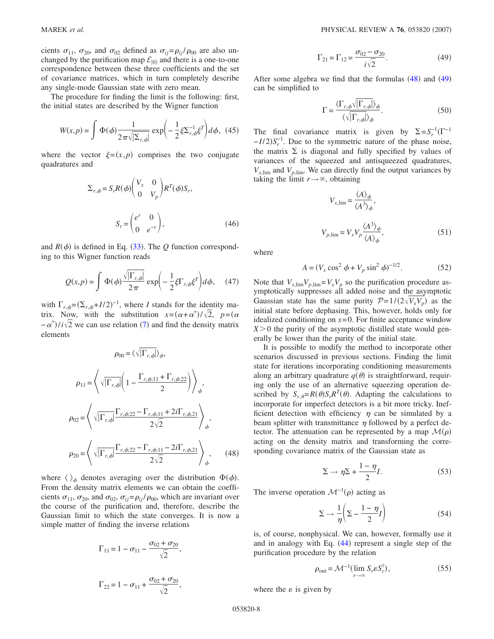cients  $\sigma_{11}$ ,  $\sigma_{20}$ , and  $\sigma_{02}$  defined as  $\sigma_{ij} = \rho_{ij} / \rho_{00}$  are also unchanged by the purification map  $\mathcal{E}_{|0\rangle}$  and there is a one-to-one correspondence between these three coefficients and the set of covariance matrices, which in turn completely describe any single-mode Gaussian state with zero mean.

<span id="page-7-0"></span>The procedure for finding the limit is the following: first, the initial states are described by the Wigner function

$$
W(x,p) = \int \Phi(\phi) \frac{1}{2\pi \sqrt{|\Sigma_{r,\phi}|}} \exp\left(-\frac{1}{2}\xi \Sigma_{r,\phi}^{-1} \xi^T\right) d\phi, \tag{45}
$$

where the vector  $\xi = (x, p)$  comprises the two conjugate quadratures and

$$
\Sigma_{r,\phi} = S_r R(\phi) \begin{pmatrix} V_x & 0 \\ 0 & V_p \end{pmatrix} R^T(\phi) S_r,
$$

$$
S_r = \begin{pmatrix} e^r & 0 \\ 0 & e^{-r} \end{pmatrix},
$$
(46)

and  $R(\phi)$  is defined in Eq. ([33](#page-5-2)). The *Q* function corresponding to this Wigner function reads

$$
Q(x,p) = \int \Phi(\phi) \frac{\sqrt{|\Gamma_{r,\phi}|}}{2\pi} \exp\left(-\frac{1}{2}\xi \Gamma_{r,\phi} \xi^{T}\right) d\phi, \quad (47)
$$

with  $\Gamma_{r,\phi} = (\Sigma_{r,\phi} + I/2)^{-1}$ , where *I* stands for the identity matrix. Now, with the substitution  $x = (\alpha + \alpha^*)/\sqrt{2}$ ,  $p = (\alpha + \alpha^*)/\sqrt{2}$  $-\alpha^*$ )/ $i\sqrt{2}$  we can use relation ([7](#page-1-5)) and find the density matrix elements

$$
\rho_{00} = \langle \sqrt{|\Gamma_{r,\phi}|} \rangle_{\phi},
$$
\n
$$
\rho_{11} = \left\langle \sqrt{|\Gamma_{r,\phi}|} \left( 1 - \frac{\Gamma_{r,\phi;11} + \Gamma_{r,\phi;22}}{2} \right) \right\rangle_{\phi},
$$
\n
$$
\rho_{02} = \left\langle \sqrt{|\Gamma_{r,\phi}|} \frac{\Gamma_{r,\phi;22} - \Gamma_{r,\phi;11} + 2i\Gamma_{r,\phi,21}}{2\sqrt{2}} \right\rangle_{\phi},
$$
\n
$$
\rho_{20} = \left\langle \sqrt{|\Gamma_{r,\phi}|} \frac{\Gamma_{r,\phi;22} - \Gamma_{r,\phi;11} - 2i\Gamma_{r,\phi,21}}{2\sqrt{2}} \right\rangle_{\phi}, \qquad (48)
$$

<span id="page-7-1"></span>where  $\langle \ \rangle_{\phi}$  denotes averaging over the distribution  $\Phi(\phi)$ . From the density matrix elements we can obtain the coefficients  $\sigma_{11}$ ,  $\sigma_{20}$ , and  $\sigma_{02}$ ,  $\sigma_{ij} = \rho_{ij} / \rho_{00}$ , which are invariant over the course of the purification and, therefore, describe the Gaussian limit to which the state converges. It is now a simple matter of finding the inverse relations

$$
\Gamma_{11} = 1 - \sigma_{11} - \frac{\sigma_{02} + \sigma_{20}}{\sqrt{2}},
$$
  

$$
\Gamma_{22} = 1 - \sigma_{11} + \frac{\sigma_{02} + \sigma_{20}}{\sqrt{2}},
$$

$$
\Gamma_{21} = \Gamma_{12} = \frac{\sigma_{02} - \sigma_{20}}{i\sqrt{2}}.
$$
 (49)

After some algebra we find that the formulas  $(48)$  $(48)$  $(48)$  and  $(49)$  $(49)$  $(49)$ can be simplified to

$$
\Gamma = \frac{\langle \Gamma_{r,\phi} \sqrt{|\Gamma_{r,\phi}|} \rangle_{\phi}}{\langle \sqrt{|\Gamma_{r,\phi}|} \rangle_{\phi}}.
$$
\n(50)

<span id="page-7-3"></span>The final covariance matrix is given by  $\Sigma = S_r^{-1}(\Gamma^{-1})$  $-I/2$ ) $S_r^{-1}$ . Due to the symmetric nature of the phase noise, the matrix  $\Sigma$  is diagonal and fully specified by values of variances of the squeezed and antisqueezed quadratures,  $V_{x,lim}$  and  $V_{p,lim}$ . We can directly find the output variances by taking the limit  $r \rightarrow \infty$ , obtaining

$$
V_{x,\lim} = \frac{\langle A \rangle_{\phi}}{\langle A^3 \rangle_{\phi}},
$$
  

$$
V_{p,\lim} = V_x V_p \frac{\langle A^3 \rangle_{\phi}}{\langle A \rangle_{\phi}},
$$
 (51)

where

$$
A = (V_x \cos^2 \phi + V_p \sin^2 \phi)^{-1/2}.
$$
 (52)

Note that  $V_{x,\lim}V_{p,\lim} = V_xV_p$  so the purification procedure asymptotically suppresses all added noise and the asymptotic Gaussian state has the same purity  $P=1/(2\sqrt{V_xV_p})$  as the initial state before dephasing. This, however, holds only for idealized conditioning on  $x=0$ . For finite acceptance window  $X > 0$  the purity of the asymptotic distilled state would generally be lower than the purity of the initial state.

It is possible to modify the method to incorporate other scenarios discussed in previous sections. Finding the limit state for iterations incorporating conditioning measurements along an arbitrary quadrature  $q(\theta)$  is straightforward, requiring only the use of an alternative squeezing operation described by  $S_{r,\theta} = R(\theta) S_r R^T(\theta)$ . Adapting the calculations to incorporate for imperfect detectors is a bit more tricky. Inefficient detection with efficiency  $\eta$  can be simulated by a beam splitter with transmittance  $\eta$  followed by a perfect detector. The attenuation can be represented by a map  $\mathcal{M}(\rho)$ acting on the density matrix and transforming the corresponding covariance matrix of the Gaussian state as

$$
\Sigma \to \eta \Sigma + \frac{1 - \eta}{2} I. \tag{53}
$$

The inverse operation  $\mathcal{M}^{-1}(\rho)$  acting as

$$
\Sigma \to \frac{1}{\eta} \left( \Sigma - \frac{1 - \eta}{2} I \right) \tag{54}
$$

is, of course, nonphysical. We can, however, formally use it and in analogy with Eq. ([44](#page-6-5)) represent a single step of the purification procedure by the relation

$$
\rho_{\text{out}} = \mathcal{M}^{-1}(\lim_{r \to \infty} S_r \varepsilon S_r^{\dagger}),\tag{55}
$$

<span id="page-7-2"></span>where the  $\varepsilon$  is given by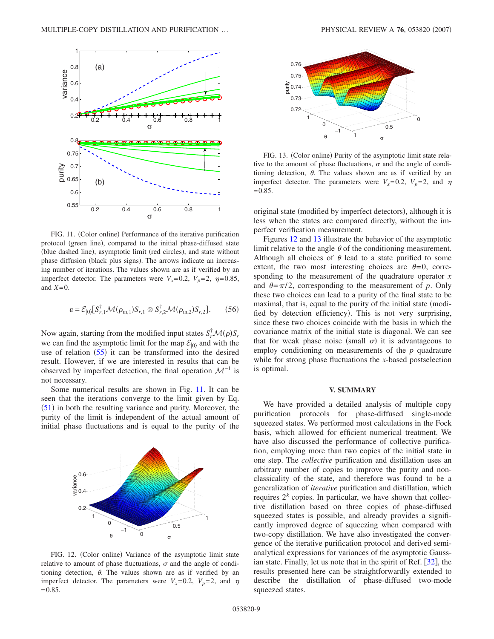<span id="page-8-0"></span>

FIG. 11. (Color online) Performance of the iterative purification protocol (green line), compared to the initial phase-diffused state (blue dashed line), asymptotic limit (red circles), and state without phase diffusion (black plus signs). The arrows indicate an increasing number of iterations. The values shown are as if verified by an imperfect detector. The parameters were  $V_x=0.2$ ,  $V_p=2$ ,  $\eta=0.85$ , and  $X=0$ .

$$
\varepsilon = \mathcal{E}_{|0\rangle}[S_{r,1}^{\dagger} \mathcal{M}(\rho_{\text{in},1}) S_{r,1} \otimes S_{r,2}^{\dagger} \mathcal{M}(\rho_{\text{in},2}) S_{r,2}]. \tag{56}
$$

Now again, starting from the modified input states  $S_r^{\dagger} \mathcal{M}(\rho) S_r$ we can find the asymptotic limit for the map  $\mathcal{E}_{0}$  and with the use of relation  $(55)$  $(55)$  $(55)$  it can be transformed into the desired result. However, if we are interested in results that can be observed by imperfect detection, the final operation  $\mathcal{M}^{-1}$  is not necessary.

Some numerical results are shown in Fig. [11.](#page-8-0) It can be seen that the iterations converge to the limit given by Eq.  $(51)$  $(51)$  $(51)$  in both the resulting variance and purity. Moreover, the purity of the limit is independent of the actual amount of initial phase fluctuations and is equal to the purity of the

<span id="page-8-1"></span>

FIG. 12. (Color online) Variance of the asymptotic limit state relative to amount of phase fluctuations,  $\sigma$  and the angle of conditioning detection,  $\theta$ . The values shown are as if verified by an imperfect detector. The parameters were  $V_x=0.2$ ,  $V_p=2$ , and  $\eta$  $=0.85$ .

<span id="page-8-2"></span>

FIG. 13. (Color online) Purity of the asymptotic limit state relative to the amount of phase fluctuations,  $\sigma$  and the angle of conditioning detection,  $\theta$ . The values shown are as if verified by an imperfect detector. The parameters were  $V_x=0.2$ ,  $V_p=2$ , and  $\eta$  $=0.85.$ 

original state (modified by imperfect detectors), although it is less when the states are compared directly, without the imperfect verification measurement.

Figures [12](#page-8-1) and [13](#page-8-2) illustrate the behavior of the asymptotic limit relative to the angle  $\theta$  of the conditioning measurement. Although all choices of  $\theta$  lead to a state purified to some extent, the two most interesting choices are  $\theta = 0$ , corresponding to the measurement of the quadrature operator *x* and  $\theta = \pi/2$ , corresponding to the measurement of *p*. Only these two choices can lead to a purity of the final state to be maximal, that is, equal to the purity of the initial state (modified by detection efficiency). This is not very surprising, since these two choices coincide with the basis in which the covariance matrix of the initial state is diagonal. We can see that for weak phase noise (small  $\sigma$ ) it is advantageous to employ conditioning on measurements of the *p* quadrature while for strong phase fluctuations the *x*-based postselection is optimal.

### **V. SUMMARY**

We have provided a detailed analysis of multiple copy purification protocols for phase-diffused single-mode squeezed states. We performed most calculations in the Fock basis, which allowed for efficient numerical treatment. We have also discussed the performance of collective purification, employing more than two copies of the initial state in one step. The *collective* purification and distillation uses an arbitrary number of copies to improve the purity and nonclassicality of the state, and therefore was found to be a generalization of *iterative* purification and distillation, which requires  $2<sup>k</sup>$  copies. In particular, we have shown that collective distillation based on three copies of phase-diffused squeezed states is possible, and already provides a significantly improved degree of squeezing when compared with two-copy distillation. We have also investigated the convergence of the iterative purification protocol and derived semianalytical expressions for variances of the asymptotic Gaussian state. Finally, let us note that in the spirit of Ref.  $\lceil 32 \rceil$  $\lceil 32 \rceil$  $\lceil 32 \rceil$ , the results presented here can be straightforwardly extended to describe the distillation of phase-diffused two-mode squeezed states.